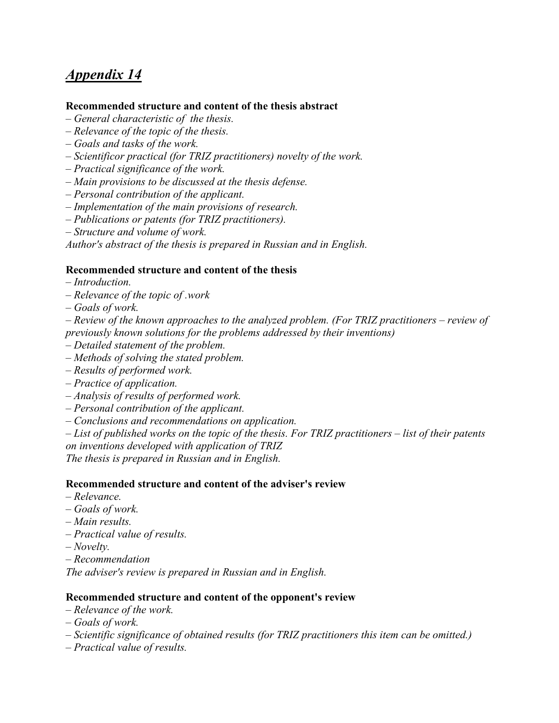# *Appendix 14*

# **Recommended structure and content of the thesis abstract**

- *– General characteristic of the thesis.*
- *– Relevance of the topic of the thesis.*
- *– Goals and tasks of the work.*
- *– Scientificor practical (for TRIZ practitioners) novelty of the work.*
- *– Practical significance of the work.*
- *– Main provisions to be discussed at the thesis defense.*
- *– Personal contribution of the applicant.*
- *– Implementation of the main provisions of research.*
- *– Publications or patents (for TRIZ practitioners).*
- *– Structure and volume of work.*

*Author's abstract of the thesis is prepared in Russian and in English.*

# **Recommended structure and content of the thesis**

- *– Introduction.*
- *– Relevance of the topic of .work*
- *– Goals of work.*

*– Review of the known approaches to the analyzed problem. (For TRIZ practitioners – review of previously known solutions for the problems addressed by their inventions)*

- *– Detailed statement of the problem.*
- *– Methods of solving the stated problem.*
- *– Results of performed work.*
- *– Practice of application.*
- *– Analysis of results of performed work.*
- *– Personal contribution of the applicant.*
- *– Conclusions and recommendations on application.*

*– List of published works on the topic of the thesis. For TRIZ practitioners – list of their patents on inventions developed with application of TRIZ The thesis is prepared in Russian and in English.*

# **Recommended structure and content of the adviser's review**

- *– Relevance.*
- *– Goals of work.*
- *– Main results.*
- *– Practical value of results.*
- *– Novelty.*
- *– Recommendation*

*The adviser's review is prepared in Russian and in English.*

# **Recommended structure and content of the opponent's review**

- *– Relevance of the work.*
- *– Goals of work.*
- *– Scientific significance of obtained results (for TRIZ practitioners this item can be omitted.)*
- *– Practical value of results.*